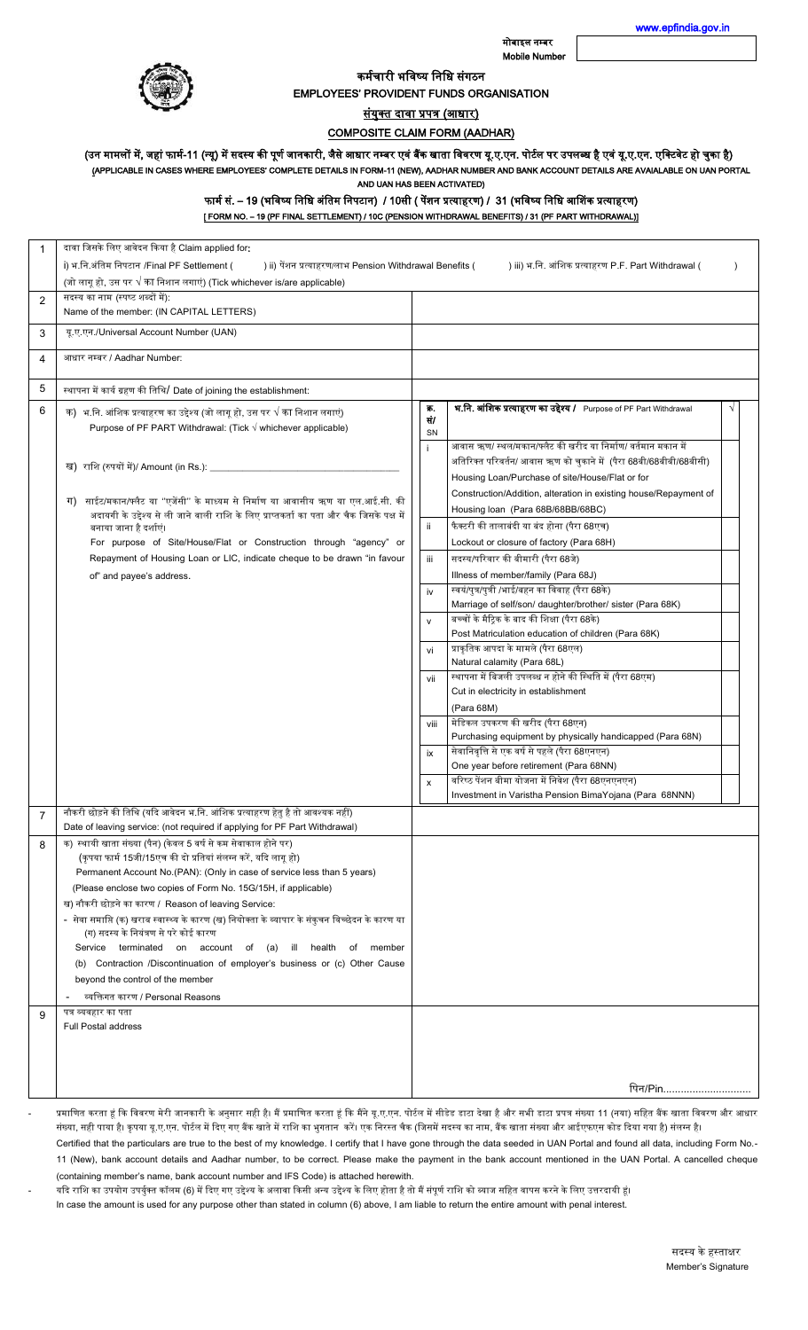मोबाइल नम्बर Mobile Number [www.epfindia.gov.in](http://www.epfindia.gov.in/) 



कर्मचारी भविष्य निधि संगठन

EMPLOYEES' PROVIDENT FUNDS ORGANISATION

<u>संयुक्त दावा प्रपत्र (आधार)</u>

COMPOSITE CLAIM FORM (AADHAR)

(उन मामलों में, जहां फार्म-11 (न्यू) में सदस्य की पूर्ण जानकारी, जैसे आधार नम्बर एवं बैंक खाता विवरण यू.ए.एन. पयर बधर पर उपलब्ध है एवं यू.ए.एन. एक्टिवेट हो चुका है)

(APPLICABLE IN CASES WHERE EMPLOYEES' COMPLETE DETAILS IN FORM-11 (NEW), AADHAR NUMBER AND BANK ACCOUNT DETAILS ARE AVAIALABLE ON UAN PORTAL AND UAN HAS BEEN ACTIVATED)

फार्म सं. – 19 (भविष्य निधि अंतिम निपटान) / 10सी ( पेंशन प्रत्याहरण) / 31 (भविष्य निधि आशिंक प्रत्याहरण)

[ FORM NO. – 19 (PF FINAL SETTLEMENT) / 10C (PENSION WITHDRAWAL BENEFITS) / 31 (PF PART WITHDRAWAL)]

| 1 | दावा जिसके लिए आवेदन किया है Claim applied for:                                                                                                  |              |                                                                     |            |  |
|---|--------------------------------------------------------------------------------------------------------------------------------------------------|--------------|---------------------------------------------------------------------|------------|--|
|   | i) भ.नि.अंतिम निपटान /Final PF Settlement (<br>) ii) पेंशन प्रत्याहरण/लाभ Pension Withdrawal Benefits (                                          |              | ) iii) भ.नि. आंशिक प्रत्याहरण P.F. Part Withdrawal (                |            |  |
|   | (जो लागू हो, उस पर √ का निशान लगाएं) (Tick whichever is/are applicable)                                                                          |              |                                                                     |            |  |
| 2 | सदस्य का नाम (स्पष्ट शब्दों में):                                                                                                                |              |                                                                     |            |  |
|   | Name of the member: (IN CAPITAL LETTERS)                                                                                                         |              |                                                                     |            |  |
| 3 | यू.ए.एन./Universal Account Number (UAN)                                                                                                          |              |                                                                     |            |  |
| 4 | आधार नम्बर / Aadhar Number:                                                                                                                      |              |                                                                     |            |  |
|   |                                                                                                                                                  |              |                                                                     |            |  |
| 5 | स्थापना में कार्य ग्रहण की तिथि/ Date of joining the establishment:                                                                              |              |                                                                     |            |  |
| 6 |                                                                                                                                                  | 冢.           | भ.नि. आंशिक प्रत्याहरण का उद्देश्य / Purpose of PF Part Withdrawal  | $\sqrt{ }$ |  |
|   | क) भ.नि. आंशिक प्रत्याहरण का उद्देश्य (जो लागू हो, उस पर $\sqrt$ का निशान लगाएं)<br>Purpose of PF PART Withdrawal: (Tick √ whichever applicable) | सं/          |                                                                     |            |  |
|   |                                                                                                                                                  | <b>SN</b>    |                                                                     |            |  |
|   |                                                                                                                                                  | ÷            | आवास ऋण/ स्थल/मकान/फ्लैट की खरीद या निर्माण/ वर्तमान मकान में       |            |  |
|   | ख)  राशि (रुपयों में)/ Amount (in Rs.): _____________                                                                                            |              | अतिरिक्त परिवर्तन/ आवास ऋण को चुकाने में  (पैरा 68बी/68बीबी/68बीसी) |            |  |
|   |                                                                                                                                                  |              | Housing Loan/Purchase of site/House/Flat or for                     |            |  |
|   | साईट/मकान/फ्लैट या ''एजेंसी'' के माध्यम से निर्माण या आवासीय ऋण या एल.आई.सी. की<br>ग)                                                            |              | Construction/Addition, alteration in existing house/Repayment of    |            |  |
|   | अदायगी के उद्देश्य से ली जाने वाली राशि के लिए प्राप्तकर्ता का पता और चैक जिसके पक्ष में                                                         |              | Housing loan (Para 68B/68BB/68BC)                                   |            |  |
|   | बनाया जाना है दर्शाएं।                                                                                                                           | ii.          | फैक्टरी की तालाबंदी या बंद होना (पैरा 68एच)                         |            |  |
|   | For purpose of Site/House/Flat or Construction through "agency" or                                                                               |              | Lockout or closure of factory (Para 68H)                            |            |  |
|   | Repayment of Housing Loan or LIC, indicate cheque to be drawn "in favour                                                                         | iii          | सदस्य/परिवार की बीमारी (पैरा 68जे)                                  |            |  |
|   | of" and payee's address.                                                                                                                         |              | Illness of member/family (Para 68J)                                 |            |  |
|   |                                                                                                                                                  | iv           | स्वयं/पुत्र/पुत्री /भाई/बहन का विवाह (पैरा 68के)                    |            |  |
|   |                                                                                                                                                  |              | Marriage of self/son/ daughter/brother/ sister (Para 68K)           |            |  |
|   |                                                                                                                                                  | $\mathsf{v}$ | बच्चों के मैट्रिक के बाद की शिक्षा (पैरा 68के)                      |            |  |
|   |                                                                                                                                                  |              | Post Matriculation education of children (Para 68K)                 |            |  |
|   |                                                                                                                                                  | vi           | प्राकृतिक आपदा के मामले (पैरा 68एल)                                 |            |  |
|   |                                                                                                                                                  |              | Natural calamity (Para 68L)                                         |            |  |
|   |                                                                                                                                                  | vii          | स्थापना में बिजली उपलब्ध न होने की स्थिति में (पैरा 68एम)           |            |  |
|   |                                                                                                                                                  |              | Cut in electricity in establishment                                 |            |  |
|   |                                                                                                                                                  |              | (Para 68M)                                                          |            |  |
|   |                                                                                                                                                  | viii         | मेडिकल उपकरण की खरीद (पैरा 68एन)                                    |            |  |
|   |                                                                                                                                                  |              | Purchasing equipment by physically handicapped (Para 68N)           |            |  |
|   |                                                                                                                                                  | ix           | सेवानिवृत्ति से एक वर्ष से पहले (पैरा 68एनएन)                       |            |  |
|   |                                                                                                                                                  |              | One year before retirement (Para 68NN)                              |            |  |
|   |                                                                                                                                                  | x            | वरिष्ठ पेंशन बीमा योजना में निवेश (पैरा 68एनएनएन)                   |            |  |
|   |                                                                                                                                                  |              | Investment in Varistha Pension BimaYojana (Para 68NNN)              |            |  |
| 7 | नौकरी छोड़ने की तिथि (यदि आवेदन भ.नि. आंशिक प्रत्याहरण हेतु है तो आवश्यक नहीं)                                                                   |              |                                                                     |            |  |
|   | Date of leaving service: (not required if applying for PF Part Withdrawal)                                                                       |              |                                                                     |            |  |
| 8 | क) स्थायी खाता संख्या (पैन) (केवल 5 वर्ष से कम सेवाकाल होने पर)<br>(कृपया फार्म 15जी/15एच की दो प्रतियां संलग्न करें, यदि लागू हो)               |              |                                                                     |            |  |
|   | Permanent Account No.(PAN): (Only in case of service less than 5 years)                                                                          |              |                                                                     |            |  |
|   | (Please enclose two copies of Form No. 15G/15H, if applicable)                                                                                   |              |                                                                     |            |  |
|   | ख) नौकरी छोड़ने का कारण / Reason of leaving Service:                                                                                             |              |                                                                     |            |  |
|   | -  सेवा समाप्ति (क) खराब स्वास्थ्य के कारण (ख) नियोक्ता के व्यापार के संकुचन विच्छेदन के कारण या                                                 |              |                                                                     |            |  |
|   | (ग) सदस्य के नियंत्रण से परे कोई कारण                                                                                                            |              |                                                                     |            |  |
|   | Service terminated on account of<br>(a)<br>ill health<br>of member                                                                               |              |                                                                     |            |  |
|   | (b) Contraction /Discontinuation of employer's business or (c) Other Cause                                                                       |              |                                                                     |            |  |
|   | beyond the control of the member                                                                                                                 |              |                                                                     |            |  |
|   | व्यक्तिगत कारण / Personal Reasons                                                                                                                |              |                                                                     |            |  |
| 9 | पत्र व्यवहार का पता                                                                                                                              |              |                                                                     |            |  |
|   | <b>Full Postal address</b>                                                                                                                       |              |                                                                     |            |  |
|   |                                                                                                                                                  |              |                                                                     |            |  |
|   |                                                                                                                                                  |              |                                                                     |            |  |
|   |                                                                                                                                                  |              |                                                                     |            |  |
|   |                                                                                                                                                  |              | पिन/Pin                                                             |            |  |

प्रमाणित करता हूं कि विवरण मेरी जानकारी के अनुसार सही है। मैं प्रमाणित करता हूं कि मैंने यू.ए.एन. पोर्टल पोर्सल में सीडेड डाटा देखा है और सभी डाटा प्रपत्र संख्या 11 (नया) सहित बैंक खाता विवरण और आधार संख्या, सही पाया है। कृपया यू.ए.एन. पोर्टल में दिए गए बैंक खाते में राशि का भुगतान करें। एक निरस्त चैक (जिसमें सदस्य का माज से आईएफएस कोड दिया गया है) संलग्न है।

Certified that the particulars are true to the best of my knowledge. I certify that I have gone through the data seeded in UAN Portal and found all data, including Form No.- 11 (New), bank account details and Aadhar number, to be correct. Please make the payment in the bank account mentioned in the UAN Portal. A cancelled cheque (containing member's name, bank account number and IFS Code) is attached herewith.

यदि राशि का उपयोग उपर्युक्त कॉलम (6) में दिए गए उद्देश्य के अलावा किसी अन्य उद्देश्य के लिए होता है तो मैं संपूर्ण राशि को ब्याज सहित वापस करने के लिए उत्तरदायी हूं। In case the amount is used for any purpose other than stated in column (6) above, I am liable to return the entire amount with penal interest.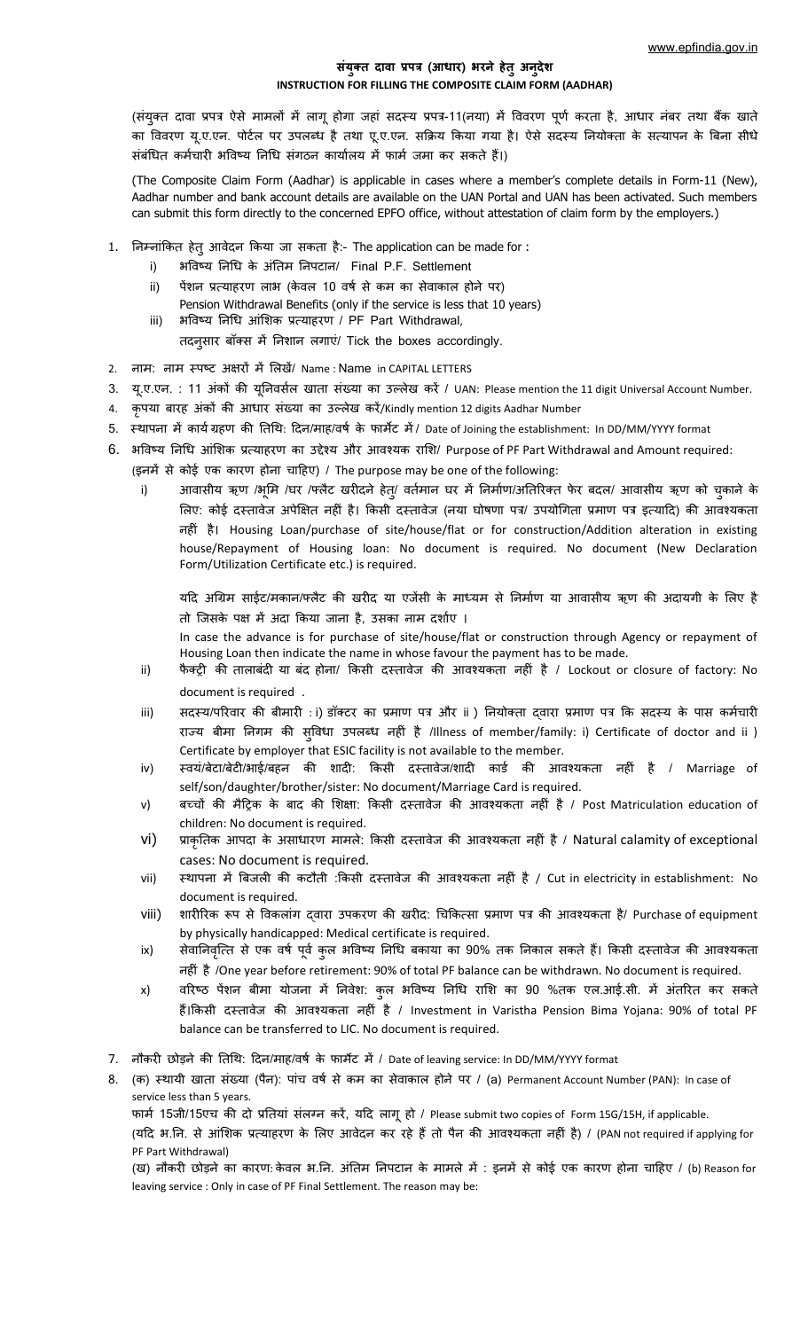## **संयुक्e दावातप्रपत्रत(आधार)तभरने हेeुअनुदेश INSTRUCTION FOR FILLING THE COMPOSITE CLAIM FORM (AADHAR)**

(संयुक्त दावा प्रपत्र ऐसे मामलों में लागू होगा जहां सदस्य प्रपत्र-11(नया) में विवरण पूर्ण करता है, आधार नंबर तथा बैंक खाते का विवरण यू.ए.एन. पोर्टल पर उपलब्ध है तथा एू.ए.एन. सक्रिय किया गया है। ऐसे सदस्य नियोक्ता के सत्यापन के बिना सीधे संबंधित कर्मचारी भविष्य निधि संगठन कार्यालय में फार्म जमा कर सकते हैं।)

(The Composite Claim Form (Aadhar) is applicable in cases where a member's complete details in Form-11 (New), Aadhar number and bank account details are available on the UAN Portal and UAN has been activated. Such members can submit this form directly to the concerned EPFO office, without attestation of claim form by the employers.)

- 1. निम्नांकित हेतु आवेदन किया जा सकता है:- The application can be made for :
	- i) भविष्य निधि के अंतिम निपटान/ Final P.F. Settlement
	- ii) पेंशन प्रत्याहरण लाभ (केवल 10 वर्ष से कम का सेवाकाल होने पर)
	- Pension Withdrawal Benefits (only if the service is less that 10 years)
	- iii) भविष्य निधि आंशिक प्रत्याहरण / PF Part Withdrawal,

तदनूसार बॉक्स में निशान लगाएं/ Tick the boxes accordingly.

- 2. नाम: नाम स्पष्ट अक्षरों में लिखें/ Name : Name in CAPITAL LETTERS
- 3. यू.ए.एन.: 11 अंकों की यूनिवर्सल खाता संख्या का उल्लेख करें / UAN: Please mention the 11 digit Universal Account Number.
- 4. कृपया बारह अंकों की आधार संख्या का उल्लेख करें/Kindly mention 12 digits Aadhar Number
- 5. स्थापना में कार्य ग्रहण की तिथि: दिन/माह/वर्ष के फार्मेट में/ Date of Joining the establishment: In DD/MM/YYYY format
- 6. भविष्य निधि आंशिक प्रत्याहरण का उद्देश्य और आवश्यक राशि/ Purpose of PF Part Withdrawal and Amount required:
	- (इनमें से कोई एक कारण होना चाहिए) / The purpose may be one of the following:
		- i) आवासीय ऋण /भूमि /घर /फ्लैट खरीदने हेत्/ वर्तमान घर में निर्माण/अतिरिक्त फेर बदल/ आवासीय ऋण को चुकाने के लिए: कोई दस्तावेज अपेक्षित नहीं है। किसी दस्तावेज (नया घोषणा पत्र/ उपयोगिता प्रमाण पत्र इत्यादि) की आवश्यकता नहींत है। Housing Loan/purchase of site/house/flat or for construction/Addition alteration in existing house/Repayment of Housing loan: No document is required. No document (New Declaration Form/Utilization Certificate etc.) is required.

यदि अग्रिम साईट/मकान/फ्लैट की खरीद या एजेंसी के माध्यम से निर्माण या आवासीय ऋण की अदायगी के लिए है तो जिसके पक्ष में अदा किया जाना है, उसका नाम दर्शाए।

In case the advance is for purchase of site/house/flat or construction through Agency or repayment of Housing Loan then indicate the name in whose favour the payment has to be made.

- ii) पैक्ट्री की तालाबंदी या बंद होना/ किसी दस्तावेज की आवश्यकता नहीं है / Lockout or closure of factory: No document is required.
- iii) सदस्य/परिवार की बीमारी : i) डॉक्टर का प्रमाण पत्र और ii ) नियोक्ता दवारा प्रमाण पत्र कि सदस्य के पास कर्मचारी राज्य बीमा निगम की सुविधा उपलब्ध नहीं है /Illness of member/family: i) Certificate of doctor and ii ) Certificate by employer that ESIC facility is not available to the member.
- iv) स्वयं/बेटा/बेटी/भाई/बहन की शादी: किसी दस्तावेज/शादी कार्ड की आवश्यकता नहीं है / Marriage of self/son/daughter/brother/sister: No document/Marriage Card is required.
- v) वच्चों की मैट्रिक के बाद की शिक्षा: किसी दस्तावेज की आवश्यकता नहीं है / Post Matriculation education of children: No document is required.
- vi) प्राकृतिक आपदा के असाधारण मामले: किसी दस्तावेज की आवश्यकता नहीं है / Natural calamity of exceptional cases: No document is required.
- vii) स्थापना में बिजली की कटौती :किसी दस्तावेज की आवश्यकता नहीं है / Cut in electricity in establishment: No document is required.
- viii) शारीरिक रूप से विकलांग दवारा उपकरण की खरीद: चिकित्सा प्रमाण पत्र की आवश्यकता है/ Purchase of equipment by physically handicapped: Medical certificate is required.
- ix) सेवानिवृत्ति से एक वर्ष पूर्व कुल भविष्य निधि बकाया का 90% तक निकाल सकते हैं। किसी दस्तावेज की आवश्यकता नहींतहैत/One year before retirement: 90% of total PF balance can be withdrawn. No document is required.
- x) वरिष्ठ पेंशन बीमा योजना में निवेश: कुल भविष्य निधि राशि का 90 %तक एल.आई.सी. में अंतरित कर सकते हैं।किसी दस्तावेज की आवश्यकता नहीं है / Investment in Varistha Pension Bima Yojana: 90% of total PF balance can be transferred to LIC. No document is required.
- 7. नौकरी छोड़ने की तिथि: दिन/माह/वर्ष के फार्मेट में / Date of leaving service: In DD/MM/YYYY format

8. (क) स्थायी खाता संख्या (पैन): पांच वर्ष से कम का सेवाकाल होने पर / (a) Permanent Account Number (PAN): In case of service less than 5 years.

फार्म 15जी/15एच की दो प्रतियां संलग्न करें, यदि लागू हो / Please submit two copies of Form 15G/15H, if applicable.

(यदि भ.नि. से आंशिक प्रत्याहरण के लिए आवेदन कर रहे हैं तो पैन की आवश्यकता नहीं है) / (PAN not required if applying for PF Part Withdrawal)

(ख) नौकरी छोड़ने का कारण: केवल भ.नि. अंतिम निपटान के मामले में : इनमें से कोई एक कारण होना चाहिए / (b) Reason for leaving service : Only in case of PF Final Settlement. The reason may be: